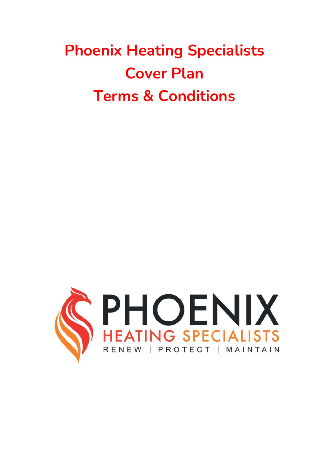# **Phoenix Heating Specialists Cover Plan Terms & Conditions**

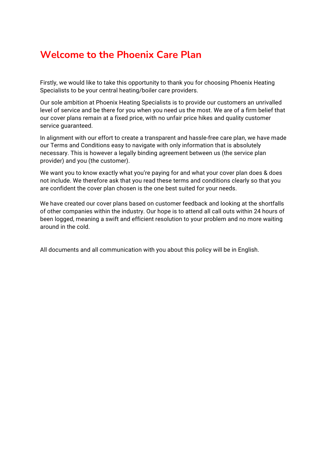### **Welcome to the Phoenix Care Plan**

Firstly, we would like to take this opportunity to thank you for choosing Phoenix Heating Specialists to be your central heating/boiler care providers.

Our sole ambition at Phoenix Heating Specialists is to provide our customers an unrivalled level of service and be there for you when you need us the most. We are of a firm belief that our cover plans remain at a fixed price, with no unfair price hikes and quality customer service guaranteed.

In alignment with our effort to create a transparent and hassle-free care plan, we have made our Terms and Conditions easy to navigate with only information that is absolutely necessary. This is however a legally binding agreement between us (the service plan provider) and you (the customer).

We want you to know exactly what you're paying for and what your cover plan does & does not include. We therefore ask that you read these terms and conditions clearly so that you are confident the cover plan chosen is the one best suited for your needs.

We have created our cover plans based on customer feedback and looking at the shortfalls of other companies within the industry. Our hope is to attend all call outs within 24 hours of been logged, meaning a swift and efficient resolution to your problem and no more waiting around in the cold.

All documents and all communication with you about this policy will be in English.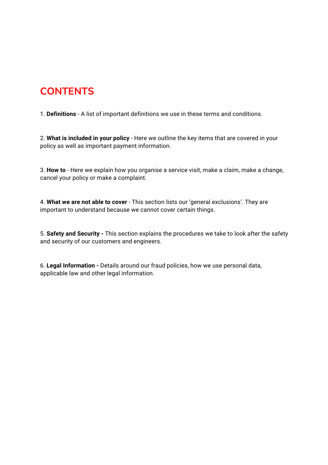# **CONTENTS**

1. **Definitions** - A list of important definitions we use in these terms and conditions.

2. **What is included in your policy** - Here we outline the key items that are covered in your policy as well as important payment information.

3. **How to** - Here we explain how you organise a service visit, make a claim, make a change, cancel your policy or make a complaint.

4. **What we are not able to cover** - This section lists our 'general exclusions'. They are important to understand because we cannot cover certain things.

5. **Safety and Security -** This section explains the procedures we take to look after the safety and security of our customers and engineers.

6. **Legal Information -** Details around our fraud policies, how we use personal data, applicable law and other legal information.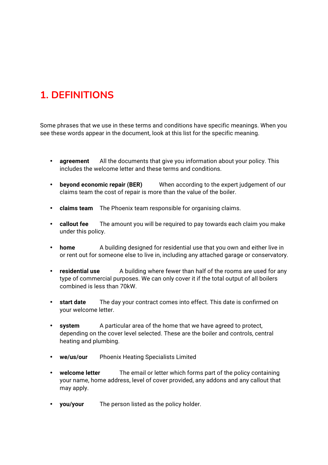# **1. DEFINITIONS**

Some phrases that we use in these terms and conditions have specific meanings. When you see these words appear in the document, look at this list for the specific meaning.

- **agreement** All the documents that give you information about your policy. This includes the welcome letter and these terms and conditions.
- **beyond economic repair (BER)** When according to the expert judgement of our claims team the cost of repair is more than the value of the boiler.
- **claims team** The Phoenix team responsible for organising claims.
- **callout fee** The amount you will be required to pay towards each claim you make under this policy.
- **home** A building designed for residential use that you own and either live in or rent out for someone else to live in, including any attached garage or conservatory.
- **residential use** A building where fewer than half of the rooms are used for any type of commercial purposes. We can only cover it if the total output of all boilers combined is less than 70kW.
- **start date** The day your contract comes into effect. This date is confirmed on your welcome letter.
- **system** A particular area of the home that we have agreed to protect, depending on the cover level selected. These are the boiler and controls, central heating and plumbing.
- **we/us/our** Phoenix Heating Specialists Limited
- **welcome letter** The email or letter which forms part of the policy containing your name, home address, level of cover provided, any addons and any callout that may apply.
- **you/your** The person listed as the policy holder.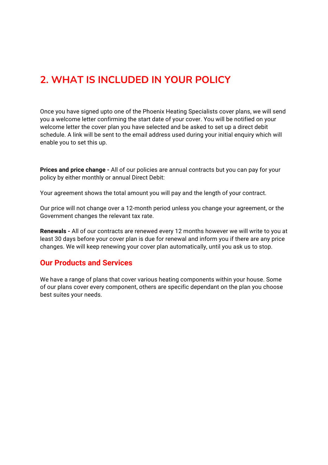# **2. WHAT IS INCLUDED IN YOUR POLICY**

Once you have signed upto one of the Phoenix Heating Specialists cover plans, we will send you a welcome letter confirming the start date of your cover. You will be notified on your welcome letter the cover plan you have selected and be asked to set up a direct debit schedule. A link will be sent to the email address used during your initial enquiry which will enable you to set this up.

**Prices and price change -** All of our policies are annual contracts but you can pay for your policy by either monthly or annual Direct Debit:

Your agreement shows the total amount you will pay and the length of your contract.

Our price will not change over a 12-month period unless you change your agreement, or the Government changes the relevant tax rate.

**Renewals -** All of our contracts are renewed every 12 months however we will write to you at least 30 days before your cover plan is due for renewal and inform you if there are any price changes. We will keep renewing your cover plan automatically, until you ask us to stop.

#### **Our Products and Services**

We have a range of plans that cover various heating components within your house. Some of our plans cover every component, others are specific dependant on the plan you choose best suites your needs.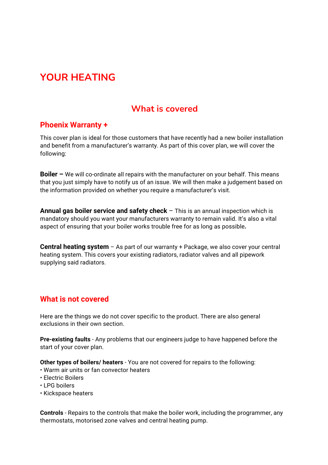# **YOUR HEATING**

### **What is covered**

#### **Phoenix Warranty +**

This cover plan is ideal for those customers that have recently had a new boiler installation and benefit from a manufacturer's warranty. As part of this cover plan, we will cover the following:

**Boiler –** We will co-ordinate all repairs with the manufacturer on your behalf. This means that you just simply have to notify us of an issue. We will then make a judgement based on the information provided on whether you require a manufacturer's visit.

**Annual gas boiler service and safety check** – This is an annual inspection which is mandatory should you want your manufacturers warranty to remain valid. It's also a vital aspect of ensuring that your boiler works trouble free for as long as possible**.**

**Central heating system** – As part of our warranty + Package, we also cover your central heating system. This covers your existing radiators, radiator valves and all pipework supplying said radiators.

### **What is not covered**

Here are the things we do not cover specific to the product. There are also general exclusions in their own section.

**Pre-existing faults** - Any problems that our engineers judge to have happened before the start of your cover plan.

**Other types of boilers/ heaters** - You are not covered for repairs to the following:

- Warm air units or fan convector heaters
- Electric Boilers
- LPG boilers
- Kickspace heaters

**Controls** - Repairs to the controls that make the boiler work, including the programmer, any thermostats, motorised zone valves and central heating pump.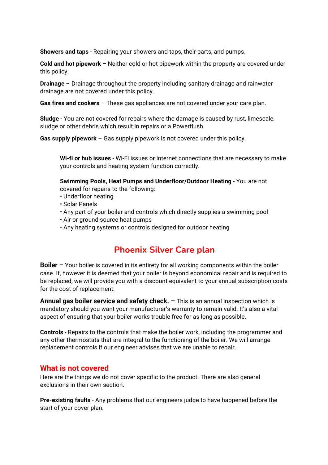**Showers and taps** - Repairing your showers and taps, their parts, and pumps.

**Cold and hot pipework –** Neither cold or hot pipework within the property are covered under this policy.

**Drainage** – Drainage throughout the property including sanitary drainage and rainwater drainage are not covered under this policy.

**Gas fires and cookers** – These gas appliances are not covered under your care plan.

**Sludge** - You are not covered for repairs where the damage is caused by rust, limescale, sludge or other debris which result in repairs or a Powerflush.

**Gas supply pipework** – Gas supply pipework is not covered under this policy.

**Wi-fi or hub issues** - Wi-Fi issues or internet connections that are necessary to make your controls and heating system function correctly.

**Swimming Pools, Heat Pumps and Underfloor/Outdoor Heating** - You are not covered for repairs to the following:

- Underfloor heating
- Solar Panels
- Any part of your boiler and controls which directly supplies a swimming pool
- Air or ground source heat pumps
- Any heating systems or controls designed for outdoor heating

### **Phoenix Silver Care plan**

**Boiler** – Your boiler is covered in its entirety for all working components within the boiler case. If, however it is deemed that your boiler is beyond economical repair and is required to be replaced, we will provide you with a discount equivalent to your annual subscription costs for the cost of replacement.

**Annual gas boiler service and safety check. –** This is an annual inspection which is mandatory should you want your manufacturer's warranty to remain valid. It's also a vital aspect of ensuring that your boiler works trouble free for as long as possible**.** 

**Controls** - Repairs to the controls that make the boiler work, including the programmer and any other thermostats that are integral to the functioning of the boiler. We will arrange replacement controls if our engineer advises that we are unable to repair.

#### **What is not covered**

Here are the things we do not cover specific to the product. There are also general exclusions in their own section.

**Pre-existing faults** - Any problems that our engineers judge to have happened before the start of your cover plan.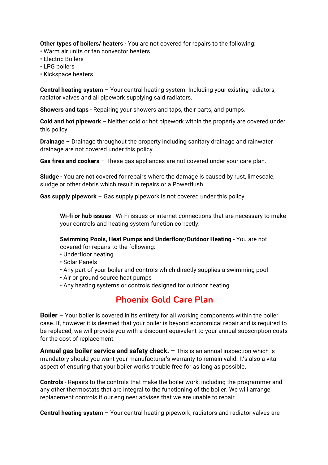**Other types of boilers/ heaters** - You are not covered for repairs to the following:

- Warm air units or fan convector heaters
- Electric Boilers
- LPG boilers
- Kickspace heaters

**Central heating system** – Your central heating system. Including your existing radiators, radiator valves and all pipework supplying said radiators.

**Showers and taps** - Repairing your showers and taps, their parts, and pumps.

**Cold and hot pipework –** Neither cold or hot pipework within the property are covered under this policy.

**Drainage** – Drainage throughout the property including sanitary drainage and rainwater drainage are not covered under this policy.

**Gas fires and cookers** – These gas appliances are not covered under your care plan.

**Sludge** - You are not covered for repairs where the damage is caused by rust, limescale, sludge or other debris which result in repairs or a Powerflush.

**Gas supply pipework** – Gas supply pipework is not covered under this policy.

**Wi-fi or hub issues** - Wi-Fi issues or internet connections that are necessary to make your controls and heating system function correctly.

**Swimming Pools, Heat Pumps and Underfloor/Outdoor Heating** - You are not covered for repairs to the following:

- Underfloor heating
- Solar Panels
- Any part of your boiler and controls which directly supplies a swimming pool
- Air or ground source heat pumps
- Any heating systems or controls designed for outdoor heating

### **Phoenix Gold Care Plan**

**Boiler –** Your boiler is covered in its entirety for all working components within the boiler case. If, however it is deemed that your boiler is beyond economical repair and is required to be replaced, we will provide you with a discount equivalent to your annual subscription costs for the cost of replacement.

**Annual gas boiler service and safety check. –** This is an annual inspection which is mandatory should you want your manufacturer's warranty to remain valid. It's also a vital aspect of ensuring that your boiler works trouble free for as long as possible**.** 

**Controls** - Repairs to the controls that make the boiler work, including the programmer and any other thermostats that are integral to the functioning of the boiler. We will arrange replacement controls if our engineer advises that we are unable to repair.

**Central heating system** – Your central heating pipework, radiators and radiator valves are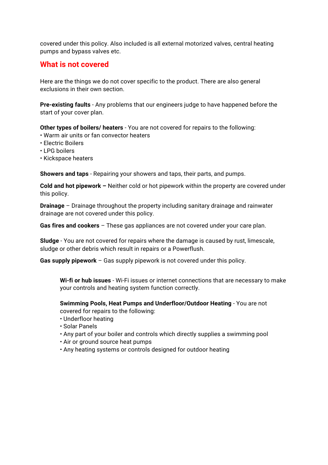covered under this policy. Also included is all external motorized valves, central heating pumps and bypass valves etc.

#### **What is not covered**

Here are the things we do not cover specific to the product. There are also general exclusions in their own section.

**Pre-existing faults** - Any problems that our engineers judge to have happened before the start of your cover plan.

**Other types of boilers/ heaters** - You are not covered for repairs to the following:

- Warm air units or fan convector heaters
- Electric Boilers
- LPG boilers
- Kickspace heaters

**Showers and taps** - Repairing your showers and taps, their parts, and pumps.

**Cold and hot pipework –** Neither cold or hot pipework within the property are covered under this policy.

**Drainage** – Drainage throughout the property including sanitary drainage and rainwater drainage are not covered under this policy.

**Gas fires and cookers** – These gas appliances are not covered under your care plan.

**Sludge** - You are not covered for repairs where the damage is caused by rust, limescale, sludge or other debris which result in repairs or a Powerflush.

**Gas supply pipework** – Gas supply pipework is not covered under this policy.

**Wi-fi or hub issues** - Wi-Fi issues or internet connections that are necessary to make your controls and heating system function correctly.

**Swimming Pools, Heat Pumps and Underfloor/Outdoor Heating** - You are not covered for repairs to the following:

- Underfloor heating
- Solar Panels
- Any part of your boiler and controls which directly supplies a swimming pool
- Air or ground source heat pumps
- Any heating systems or controls designed for outdoor heating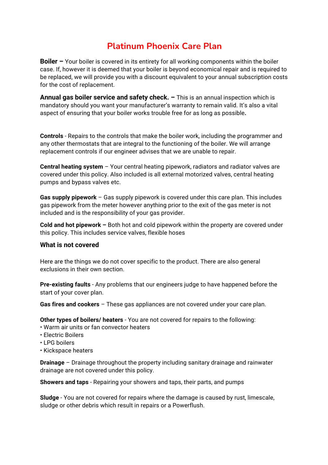### **Platinum Phoenix Care Plan**

**Boiler** – Your boiler is covered in its entirety for all working components within the boiler case. If, however it is deemed that your boiler is beyond economical repair and is required to be replaced, we will provide you with a discount equivalent to your annual subscription costs for the cost of replacement.

**Annual gas boiler service and safety check. –** This is an annual inspection which is mandatory should you want your manufacturer's warranty to remain valid. It's also a vital aspect of ensuring that your boiler works trouble free for as long as possible**.** 

**Controls** - Repairs to the controls that make the boiler work, including the programmer and any other thermostats that are integral to the functioning of the boiler. We will arrange replacement controls if our engineer advises that we are unable to repair.

**Central heating system** – Your central heating pipework, radiators and radiator valves are covered under this policy. Also included is all external motorized valves, central heating pumps and bypass valves etc.

**Gas supply pipework** – Gas supply pipework is covered under this care plan. This includes gas pipework from the meter however anything prior to the exit of the gas meter is not included and is the responsibility of your gas provider.

**Cold and hot pipework –** Both hot and cold pipework within the property are covered under this policy. This includes service valves, flexible hoses

#### **What is not covered**

Here are the things we do not cover specific to the product. There are also general exclusions in their own section.

**Pre-existing faults** - Any problems that our engineers judge to have happened before the start of your cover plan.

**Gas fires and cookers** – These gas appliances are not covered under your care plan.

**Other types of boilers/ heaters** - You are not covered for repairs to the following:

- Warm air units or fan convector heaters
- Electric Boilers
- LPG boilers
- Kickspace heaters

**Drainage** – Drainage throughout the property including sanitary drainage and rainwater drainage are not covered under this policy.

**Showers and taps** - Repairing your showers and taps, their parts, and pumps

**Sludge** - You are not covered for repairs where the damage is caused by rust, limescale, sludge or other debris which result in repairs or a Powerflush.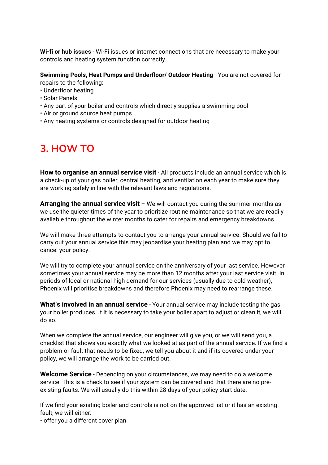**Wi-fi or hub issues** - Wi-Fi issues or internet connections that are necessary to make your controls and heating system function correctly.

**Swimming Pools, Heat Pumps and Underfloor/ Outdoor Heating** - You are not covered for repairs to the following:

- Underfloor heating
- Solar Panels
- Any part of your boiler and controls which directly supplies a swimming pool
- Air or ground source heat pumps
- Any heating systems or controls designed for outdoor heating

### **3. HOW TO**

**How to organise an annual service visit** - All products include an annual service which is a check-up of your gas boiler, central heating, and ventilation each year to make sure they are working safely in line with the relevant laws and regulations.

**Arranging the annual service visit** – We will contact you during the summer months as we use the quieter times of the year to prioritize routine maintenance so that we are readily available throughout the winter months to cater for repairs and emergency breakdowns.

We will make three attempts to contact you to arrange your annual service. Should we fail to carry out your annual service this may jeopardise your heating plan and we may opt to cancel your policy.

We will try to complete your annual service on the anniversary of your last service. However sometimes your annual service may be more than 12 months after your last service visit. In periods of local or national high demand for our services (usually due to cold weather), Phoenix will prioritise breakdowns and therefore Phoenix may need to rearrange these.

**What's involved in an annual service** - Your annual service may include testing the gas your boiler produces. If it is necessary to take your boiler apart to adjust or clean it, we will do so.

When we complete the annual service, our engineer will give you, or we will send you, a checklist that shows you exactly what we looked at as part of the annual service. If we find a problem or fault that needs to be fixed, we tell you about it and if its covered under your policy, we will arrange the work to be carried out.

**Welcome Service** - Depending on your circumstances, we may need to do a welcome service. This is a check to see if your system can be covered and that there are no preexisting faults. We will usually do this within 28 days of your policy start date.

If we find your existing boiler and controls is not on the approved list or it has an existing fault, we will either:

• offer you a different cover plan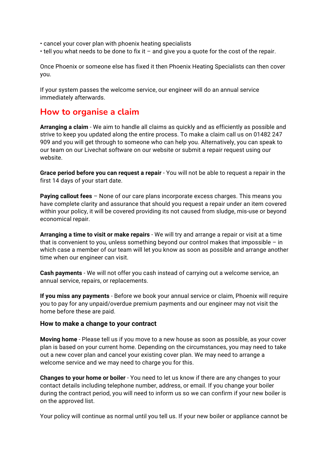• cancel your cover plan with phoenix heating specialists

• tell you what needs to be done to fix it – and give you a quote for the cost of the repair.

Once Phoenix or someone else has fixed it then Phoenix Heating Specialists can then cover you.

If your system passes the welcome service, our engineer will do an annual service immediately afterwards.

### **How to organise a claim**

**Arranging a claim** - We aim to handle all claims as quickly and as efficiently as possible and strive to keep you updated along the entire process. To make a claim call us on 01482 247 909 and you will get through to someone who can help you. Alternatively, you can speak to our team on our Livechat software on our website or submit a repair request using our website.

**Grace period before you can request a repair** - You will not be able to request a repair in the first 14 days of your start date.

**Paying callout fees** – None of our care plans incorporate excess charges. This means you have complete clarity and assurance that should you request a repair under an item covered within your policy, it will be covered providing its not caused from sludge, mis-use or beyond economical repair.

**Arranging a time to visit or make repairs** - We will try and arrange a repair or visit at a time that is convenient to you, unless something beyond our control makes that impossible  $-$  in which case a member of our team will let you know as soon as possible and arrange another time when our engineer can visit.

**Cash payments** - We will not offer you cash instead of carrying out a welcome service, an annual service, repairs, or replacements.

**If you miss any payments** - Before we book your annual service or claim, Phoenix will require you to pay for any unpaid/overdue premium payments and our engineer may not visit the home before these are paid.

#### **How to make a change to your contract**

**Moving home** - Please tell us if you move to a new house as soon as possible, as your cover plan is based on your current home. Depending on the circumstances, you may need to take out a new cover plan and cancel your existing cover plan. We may need to arrange a welcome service and we may need to charge you for this.

**Changes to your home or boiler** - You need to let us know if there are any changes to your contact details including telephone number, address, or email. If you change your boiler during the contract period, you will need to inform us so we can confirm if your new boiler is on the approved list.

Your policy will continue as normal until you tell us. If your new boiler or appliance cannot be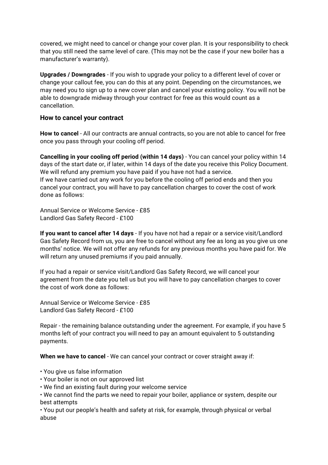covered, we might need to cancel or change your cover plan. It is your responsibility to check that you still need the same level of care. (This may not be the case if your new boiler has a manufacturer's warranty).

**Upgrades / Downgrades** - If you wish to upgrade your policy to a different level of cover or change your callout fee, you can do this at any point. Depending on the circumstances, we may need you to sign up to a new cover plan and cancel your existing policy. You will not be able to downgrade midway through your contract for free as this would count as a cancellation.

#### **How to cancel your contract**

**How to cancel** - All our contracts are annual contracts, so you are not able to cancel for free once you pass through your cooling off period.

**Cancelling in your cooling off period (within 14 days)** - You can cancel your policy within 14 days of the start date or, if later, within 14 days of the date you receive this Policy Document. We will refund any premium you have paid if you have not had a service. If we have carried out any work for you before the cooling off period ends and then you cancel your contract, you will have to pay cancellation charges to cover the cost of work done as follows:

Annual Service or Welcome Service - £85 Landlord Gas Safety Record - £100

**If you want to cancel after 14 days** - If you have not had a repair or a service visit/Landlord Gas Safety Record from us, you are free to cancel without any fee as long as you give us one months' notice. We will not offer any refunds for any previous months you have paid for. We will return any unused premiums if you paid annually.

If you had a repair or service visit/Landlord Gas Safety Record, we will cancel your agreement from the date you tell us but you will have to pay cancellation charges to cover the cost of work done as follows:

Annual Service or Welcome Service - £85 Landlord Gas Safety Record - £100

Repair - the remaining balance outstanding under the agreement. For example, if you have 5 months left of your contract you will need to pay an amount equivalent to 5 outstanding payments.

**When we have to cancel** - We can cancel your contract or cover straight away if:

- You give us false information
- Your boiler is not on our approved list
- We find an existing fault during your welcome service

• We cannot find the parts we need to repair your boiler, appliance or system, despite our best attempts

• You put our people's health and safety at risk, for example, through physical or verbal abuse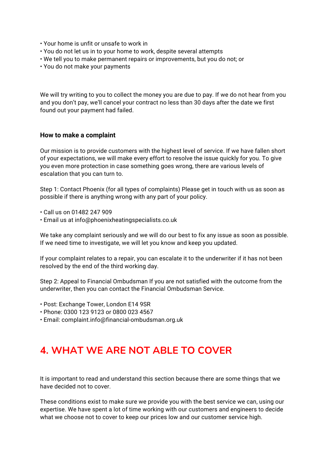- Your home is unfit or unsafe to work in
- You do not let us in to your home to work, despite several attempts
- We tell you to make permanent repairs or improvements, but you do not; or
- You do not make your payments

We will try writing to you to collect the money you are due to pay. If we do not hear from you and you don't pay, we'll cancel your contract no less than 30 days after the date we first found out your payment had failed.

#### **How to make a complaint**

Our mission is to provide customers with the highest level of service. If we have fallen short of your expectations, we will make every effort to resolve the issue quickly for you. To give you even more protection in case something goes wrong, there are various levels of escalation that you can turn to.

Step 1: Contact Phoenix (for all types of complaints) Please get in touch with us as soon as possible if there is anything wrong with any part of your policy.

- Call us on 01482 247 909
- Email us at info@phoenixheatingspecialists.co.uk

We take any complaint seriously and we will do our best to fix any issue as soon as possible. If we need time to investigate, we will let you know and keep you updated.

If your complaint relates to a repair, you can escalate it to the underwriter if it has not been resolved by the end of the third working day.

Step 2: Appeal to Financial Ombudsman If you are not satisfied with the outcome from the underwriter, then you can contact the Financial Ombudsman Service.

- Post: Exchange Tower, London E14 9SR
- Phone: 0300 123 9123 or 0800 023 4567
- Email: complaint.info@financial-ombudsman.org.uk

### **4. WHAT WE ARE NOT ABLE TO COVER**

It is important to read and understand this section because there are some things that we have decided not to cover.

These conditions exist to make sure we provide you with the best service we can, using our expertise. We have spent a lot of time working with our customers and engineers to decide what we choose not to cover to keep our prices low and our customer service high.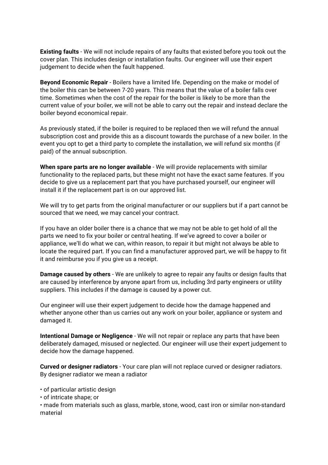**Existing faults** - We will not include repairs of any faults that existed before you took out the cover plan. This includes design or installation faults. Our engineer will use their expert judgement to decide when the fault happened.

**Beyond Economic Repair** - Boilers have a limited life. Depending on the make or model of the boiler this can be between 7-20 years. This means that the value of a boiler falls over time. Sometimes when the cost of the repair for the boiler is likely to be more than the current value of your boiler, we will not be able to carry out the repair and instead declare the boiler beyond economical repair.

As previously stated, if the boiler is required to be replaced then we will refund the annual subscription cost and provide this as a discount towards the purchase of a new boiler. In the event you opt to get a third party to complete the installation, we will refund six months (if paid) of the annual subscription.

**When spare parts are no longer available** - We will provide replacements with similar functionality to the replaced parts, but these might not have the exact same features. If you decide to give us a replacement part that you have purchased yourself, our engineer will install it if the replacement part is on our approved list.

We will try to get parts from the original manufacturer or our suppliers but if a part cannot be sourced that we need, we may cancel your contract.

If you have an older boiler there is a chance that we may not be able to get hold of all the parts we need to fix your boiler or central heating. If we've agreed to cover a boiler or appliance, we'll do what we can, within reason, to repair it but might not always be able to locate the required part. If you can find a manufacturer approved part, we will be happy to fit it and reimburse you if you give us a receipt.

**Damage caused by others** - We are unlikely to agree to repair any faults or design faults that are caused by interference by anyone apart from us, including 3rd party engineers or utility suppliers. This includes if the damage is caused by a power cut.

Our engineer will use their expert judgement to decide how the damage happened and whether anyone other than us carries out any work on your boiler, appliance or system and damaged it.

**Intentional Damage or Negligence** - We will not repair or replace any parts that have been deliberately damaged, misused or neglected. Our engineer will use their expert judgement to decide how the damage happened.

**Curved or designer radiators** - Your care plan will not replace curved or designer radiators. By designer radiator we mean a radiator

• of particular artistic design

• of intricate shape; or

• made from materials such as glass, marble, stone, wood, cast iron or similar non-standard material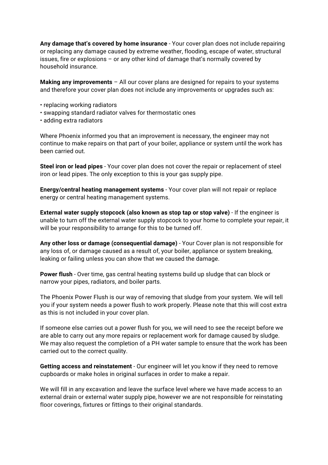**Any damage that's covered by home insurance** - Your cover plan does not include repairing or replacing any damage caused by extreme weather, flooding, escape of water, structural issues, fire or explosions – or any other kind of damage that's normally covered by household insurance.

**Making any improvements** – All our cover plans are designed for repairs to your systems and therefore your cover plan does not include any improvements or upgrades such as:

- replacing working radiators
- swapping standard radiator valves for thermostatic ones
- adding extra radiators

Where Phoenix informed you that an improvement is necessary, the engineer may not continue to make repairs on that part of your boiler, appliance or system until the work has been carried out.

**Steel iron or lead pipes** - Your cover plan does not cover the repair or replacement of steel iron or lead pipes. The only exception to this is your gas supply pipe.

**Energy/central heating management systems** - Your cover plan will not repair or replace energy or central heating management systems.

**External water supply stopcock (also known as stop tap or stop valve)** - If the engineer is unable to turn off the external water supply stopcock to your home to complete your repair, it will be your responsibility to arrange for this to be turned off.

**Any other loss or damage (consequential damage)** - Your Cover plan is not responsible for any loss of, or damage caused as a result of, your boiler, appliance or system breaking, leaking or failing unless you can show that we caused the damage.

**Power flush** - Over time, gas central heating systems build up sludge that can block or narrow your pipes, radiators, and boiler parts.

The Phoenix Power Flush is our way of removing that sludge from your system. We will tell you if your system needs a power flush to work properly. Please note that this will cost extra as this is not included in your cover plan.

If someone else carries out a power flush for you, we will need to see the receipt before we are able to carry out any more repairs or replacement work for damage caused by sludge. We may also request the completion of a PH water sample to ensure that the work has been carried out to the correct quality.

**Getting access and reinstatement** - Our engineer will let you know if they need to remove cupboards or make holes in original surfaces in order to make a repair.

We will fill in any excavation and leave the surface level where we have made access to an external drain or external water supply pipe, however we are not responsible for reinstating floor coverings, fixtures or fittings to their original standards.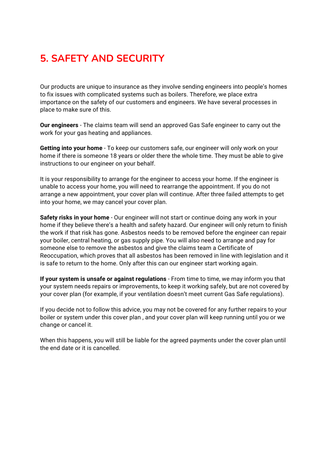# **5. SAFETY AND SECURITY**

Our products are unique to insurance as they involve sending engineers into people's homes to fix issues with complicated systems such as boilers. Therefore, we place extra importance on the safety of our customers and engineers. We have several processes in place to make sure of this.

**Our engineers** - The claims team will send an approved Gas Safe engineer to carry out the work for your gas heating and appliances.

**Getting into your home** - To keep our customers safe, our engineer will only work on your home if there is someone 18 years or older there the whole time. They must be able to give instructions to our engineer on your behalf.

It is your responsibility to arrange for the engineer to access your home. If the engineer is unable to access your home, you will need to rearrange the appointment. If you do not arrange a new appointment, your cover plan will continue. After three failed attempts to get into your home, we may cancel your cover plan.

**Safety risks in your home** - Our engineer will not start or continue doing any work in your home if they believe there's a health and safety hazard. Our engineer will only return to finish the work if that risk has gone. Asbestos needs to be removed before the engineer can repair your boiler, central heating, or gas supply pipe. You will also need to arrange and pay for someone else to remove the asbestos and give the claims team a Certificate of Reoccupation, which proves that all asbestos has been removed in line with legislation and it is safe to return to the home. Only after this can our engineer start working again.

**If your system is unsafe or against regulations** - From time to time, we may inform you that your system needs repairs or improvements, to keep it working safely, but are not covered by your cover plan (for example, if your ventilation doesn't meet current Gas Safe regulations).

If you decide not to follow this advice, you may not be covered for any further repairs to your boiler or system under this cover plan , and your cover plan will keep running until you or we change or cancel it.

When this happens, you will still be liable for the agreed payments under the cover plan until the end date or it is cancelled.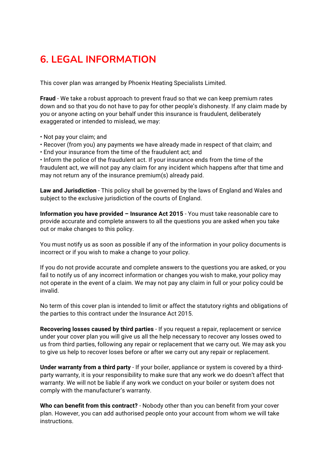## **6. LEGAL INFORMATION**

This cover plan was arranged by Phoenix Heating Specialists Limited.

**Fraud** - We take a robust approach to prevent fraud so that we can keep premium rates down and so that you do not have to pay for other people's dishonesty. If any claim made by you or anyone acting on your behalf under this insurance is fraudulent, deliberately exaggerated or intended to mislead, we may:

- Not pay your claim; and
- Recover (from you) any payments we have already made in respect of that claim; and
- End your insurance from the time of the fraudulent act; and

• Inform the police of the fraudulent act. If your insurance ends from the time of the fraudulent act, we will not pay any claim for any incident which happens after that time and may not return any of the insurance premium(s) already paid.

**Law and Jurisdiction** - This policy shall be governed by the laws of England and Wales and subject to the exclusive jurisdiction of the courts of England.

**Information you have provided – Insurance Act 2015** - You must take reasonable care to provide accurate and complete answers to all the questions you are asked when you take out or make changes to this policy.

You must notify us as soon as possible if any of the information in your policy documents is incorrect or if you wish to make a change to your policy.

If you do not provide accurate and complete answers to the questions you are asked, or you fail to notify us of any incorrect information or changes you wish to make, your policy may not operate in the event of a claim. We may not pay any claim in full or your policy could be invalid.

No term of this cover plan is intended to limit or affect the statutory rights and obligations of the parties to this contract under the Insurance Act 2015.

**Recovering losses caused by third parties** - If you request a repair, replacement or service under your cover plan you will give us all the help necessary to recover any losses owed to us from third parties, following any repair or replacement that we carry out. We may ask you to give us help to recover loses before or after we carry out any repair or replacement.

**Under warranty from a third party** - If your boiler, appliance or system is covered by a thirdparty warranty, it is your responsibility to make sure that any work we do doesn't affect that warranty. We will not be liable if any work we conduct on your boiler or system does not comply with the manufacturer's warranty.

**Who can benefit from this contract?** - Nobody other than you can benefit from your cover plan. However, you can add authorised people onto your account from whom we will take instructions.